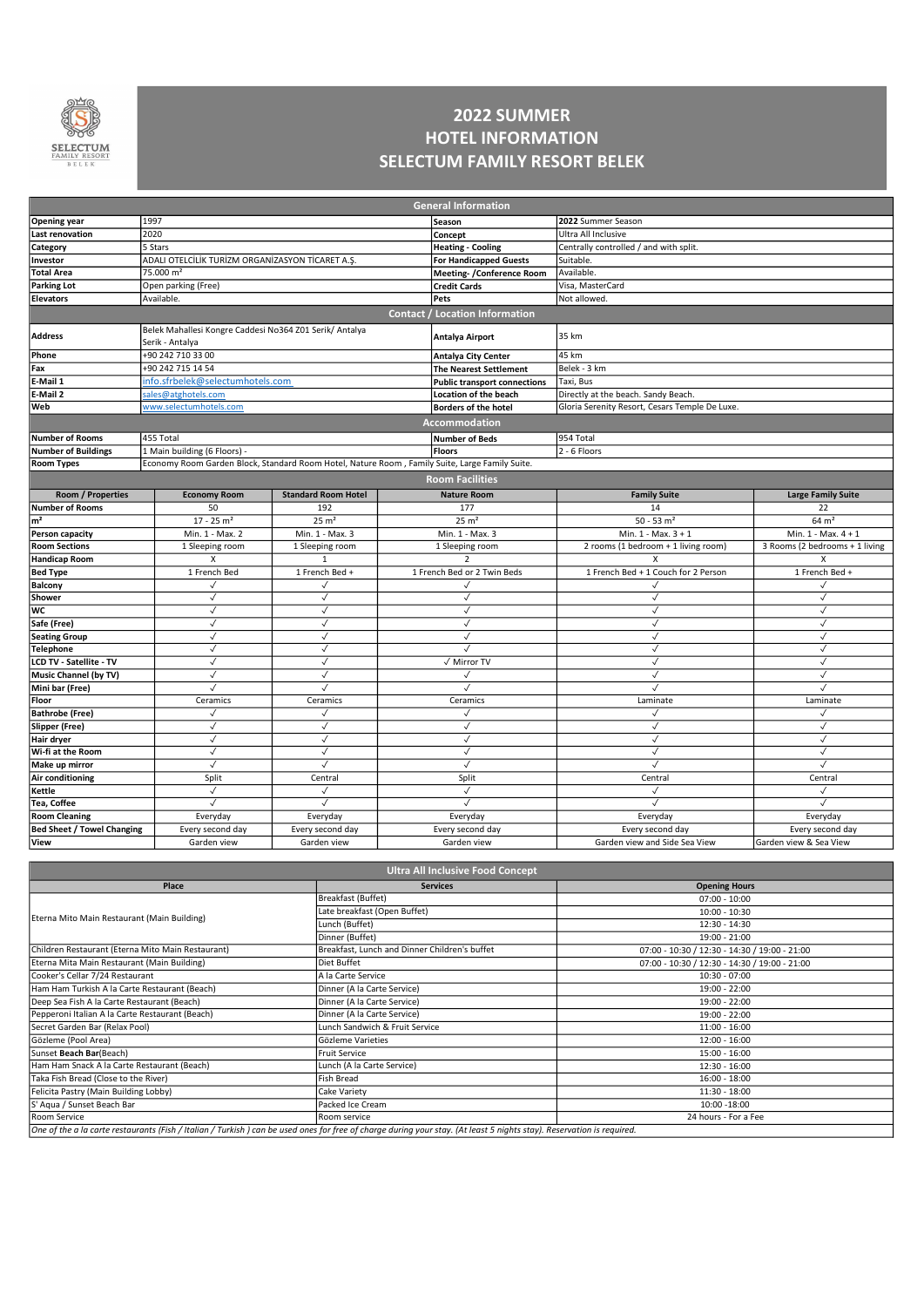

## HOTEL INFORMATION SELECTUM FAMILY RESORT BELEK

|                                                                                                                                                                                                                                                                                                                                                       |                                                                                                                                                                                 |                                 | 2022 SUMMER                                                                                     |                                                   |                                                                              |  |  |
|-------------------------------------------------------------------------------------------------------------------------------------------------------------------------------------------------------------------------------------------------------------------------------------------------------------------------------------------------------|---------------------------------------------------------------------------------------------------------------------------------------------------------------------------------|---------------------------------|-------------------------------------------------------------------------------------------------|---------------------------------------------------|------------------------------------------------------------------------------|--|--|
|                                                                                                                                                                                                                                                                                                                                                       | <b>HOTEL INFORMATION</b>                                                                                                                                                        |                                 |                                                                                                 |                                                   |                                                                              |  |  |
| <b>SELECTUM</b><br>FAMILY RESORT                                                                                                                                                                                                                                                                                                                      |                                                                                                                                                                                 |                                 |                                                                                                 |                                                   |                                                                              |  |  |
| BELEK                                                                                                                                                                                                                                                                                                                                                 |                                                                                                                                                                                 |                                 | <b>SELECTUM FAMILY RESORT BELEK</b>                                                             |                                                   |                                                                              |  |  |
|                                                                                                                                                                                                                                                                                                                                                       |                                                                                                                                                                                 |                                 |                                                                                                 |                                                   |                                                                              |  |  |
|                                                                                                                                                                                                                                                                                                                                                       |                                                                                                                                                                                 |                                 | <b>General Information</b>                                                                      |                                                   |                                                                              |  |  |
| <b>Opening year</b>                                                                                                                                                                                                                                                                                                                                   | 1997                                                                                                                                                                            |                                 | Season                                                                                          | 2022 Summer Season                                |                                                                              |  |  |
| Last renovation                                                                                                                                                                                                                                                                                                                                       | 2020<br>Ultra All Inclusive<br>Concept                                                                                                                                          |                                 |                                                                                                 |                                                   |                                                                              |  |  |
| <b>Category</b><br>Investor                                                                                                                                                                                                                                                                                                                           | Centrally controlled / and with split.<br>5 Stars<br><b>Heating - Cooling</b><br>ADALI OTELCİLİK TURİZM ORGANİZASYON TİCARET A.Ş.<br>Suitable.<br><b>For Handicapped Guests</b> |                                 |                                                                                                 |                                                   |                                                                              |  |  |
| <b>Total Area</b>                                                                                                                                                                                                                                                                                                                                     | 75.000 m <sup>2</sup>                                                                                                                                                           |                                 | Meeting- /Conference Room                                                                       | Available.                                        |                                                                              |  |  |
| Parking Lot                                                                                                                                                                                                                                                                                                                                           | Open parking (Free)<br><b>Credit Cards</b><br>Visa, MasterCard                                                                                                                  |                                 |                                                                                                 |                                                   |                                                                              |  |  |
| Elevators                                                                                                                                                                                                                                                                                                                                             | Available.                                                                                                                                                                      |                                 | Pets                                                                                            | Not allowed.                                      |                                                                              |  |  |
|                                                                                                                                                                                                                                                                                                                                                       | Belek Mahallesi Kongre Caddesi No364 Z01 Serik/ Antalya                                                                                                                         |                                 | <b>Contact / Location Information</b>                                                           |                                                   |                                                                              |  |  |
| <b>Address</b>                                                                                                                                                                                                                                                                                                                                        | Serik - Antalya                                                                                                                                                                 |                                 | <b>Antalya Airport</b>                                                                          | 35 km                                             |                                                                              |  |  |
| Phone                                                                                                                                                                                                                                                                                                                                                 | +90 242 710 33 00                                                                                                                                                               |                                 | <b>Antalya City Center</b>                                                                      | 45 km                                             |                                                                              |  |  |
| Fax<br>E-Mail 1                                                                                                                                                                                                                                                                                                                                       | +90 242 715 14 54<br>info.sfrbelek@selectumhotels.com                                                                                                                           |                                 | <b>The Nearest Settlement</b><br><b>Public transport connections</b>                            | Belek - 3 km<br>Taxi, Bus                         |                                                                              |  |  |
| E-Mail 2                                                                                                                                                                                                                                                                                                                                              | sales@atghotels.com                                                                                                                                                             |                                 | <b>Location of the beach</b>                                                                    | Directly at the beach. Sandy Beach.               |                                                                              |  |  |
| <b>Web</b>                                                                                                                                                                                                                                                                                                                                            | www.selectumhotels.com                                                                                                                                                          |                                 | <b>Borders of the hotel</b>                                                                     | Gloria Serenity Resort, Cesars Temple De Luxe.    |                                                                              |  |  |
|                                                                                                                                                                                                                                                                                                                                                       |                                                                                                                                                                                 |                                 | Accommodation                                                                                   |                                                   |                                                                              |  |  |
| <b>Number of Rooms</b><br><b>Number of Buildings</b>                                                                                                                                                                                                                                                                                                  | 455 Total<br>1 Main building (6 Floors) -                                                                                                                                       |                                 | <b>Number of Beds</b><br><b>Floors</b>                                                          | 954 Total<br>$2 - 6$ Floors                       |                                                                              |  |  |
| <b>Room Types</b>                                                                                                                                                                                                                                                                                                                                     |                                                                                                                                                                                 |                                 | Economy Room Garden Block, Standard Room Hotel, Nature Room , Family Suite, Large Family Suite. |                                                   |                                                                              |  |  |
|                                                                                                                                                                                                                                                                                                                                                       |                                                                                                                                                                                 |                                 | <b>Room Facilities</b>                                                                          |                                                   |                                                                              |  |  |
|                                                                                                                                                                                                                                                                                                                                                       |                                                                                                                                                                                 |                                 |                                                                                                 |                                                   |                                                                              |  |  |
| <b>Room / Properties</b>                                                                                                                                                                                                                                                                                                                              | <b>Economy Room</b>                                                                                                                                                             | <b>Standard Room Hotel</b>      | <b>Nature Room</b>                                                                              | <b>Family Suite</b>                               | <b>Large Family Suite</b>                                                    |  |  |
|                                                                                                                                                                                                                                                                                                                                                       | 50<br>$17 - 25 m2$                                                                                                                                                              | 192<br>$25 \text{ m}^2$         | 177<br>$25 \text{ m}^2$                                                                         | 14<br>$50 - 53$ m <sup>2</sup>                    | 22<br>$64 \text{ m}^2$                                                       |  |  |
| Person capacity                                                                                                                                                                                                                                                                                                                                       | Min. 1 - Max. 2                                                                                                                                                                 | Min. 1 - Max. 3                 | Min. 1 - Max. 3                                                                                 | Min. 1 - Max. 3 + 1                               | Min. 1 - Max. 4 + 1                                                          |  |  |
|                                                                                                                                                                                                                                                                                                                                                       | 1 Sleeping room                                                                                                                                                                 | 1 Sleeping room                 | 1 Sleeping room                                                                                 | 2 rooms (1 bedroom + 1 living room)               |                                                                              |  |  |
|                                                                                                                                                                                                                                                                                                                                                       | X<br>1 French Bed                                                                                                                                                               | $\mathbf{1}$<br>1 French Bed +  | $\overline{2}$<br>1 French Bed or 2 Twin Beds                                                   | X<br>1 French Bed + 1 Couch for 2 Person          | X<br>1 French Bed +                                                          |  |  |
|                                                                                                                                                                                                                                                                                                                                                       | $\checkmark$                                                                                                                                                                    | $\checkmark$                    | $\checkmark$                                                                                    | √                                                 | $\checkmark$                                                                 |  |  |
|                                                                                                                                                                                                                                                                                                                                                       | $\checkmark$<br>$\checkmark$                                                                                                                                                    | $\checkmark$<br>$\checkmark$    | $\checkmark$<br>$\checkmark$                                                                    | $\checkmark$<br>$\checkmark$                      | $\checkmark$<br>$\checkmark$                                                 |  |  |
|                                                                                                                                                                                                                                                                                                                                                       | $\checkmark$                                                                                                                                                                    | $\checkmark$                    | $\checkmark$                                                                                    | $\checkmark$                                      | $\checkmark$                                                                 |  |  |
| <b>Seating Group</b>                                                                                                                                                                                                                                                                                                                                  | $\sqrt{}$                                                                                                                                                                       | $\checkmark$                    | $\checkmark$                                                                                    | $\checkmark$                                      | $\sqrt{}$                                                                    |  |  |
| Telephone                                                                                                                                                                                                                                                                                                                                             | $\checkmark$<br>$\checkmark$                                                                                                                                                    | $\checkmark$<br>$\checkmark$    | $\checkmark$<br>√ Mirror TV                                                                     | $\checkmark$<br>$\checkmark$                      | $\checkmark$<br>$\checkmark$                                                 |  |  |
|                                                                                                                                                                                                                                                                                                                                                       | $\checkmark$                                                                                                                                                                    | $\checkmark$                    | $\checkmark$                                                                                    | $\checkmark$                                      | $\checkmark$                                                                 |  |  |
|                                                                                                                                                                                                                                                                                                                                                       | $\checkmark$                                                                                                                                                                    | $\checkmark$                    | $\checkmark$                                                                                    | $\checkmark$                                      | $\checkmark$                                                                 |  |  |
|                                                                                                                                                                                                                                                                                                                                                       | Ceramics<br>$\checkmark$                                                                                                                                                        | Ceramics<br>$\checkmark$        | Ceramics<br>$\checkmark$                                                                        | Laminate<br>$\checkmark$                          | Laminate<br>$\checkmark$                                                     |  |  |
|                                                                                                                                                                                                                                                                                                                                                       | $\checkmark$                                                                                                                                                                    | $\checkmark$                    | $\checkmark$                                                                                    | $\checkmark$                                      | $\checkmark$                                                                 |  |  |
| Hair dryer                                                                                                                                                                                                                                                                                                                                            | $\checkmark$                                                                                                                                                                    | $\checkmark$                    | $\checkmark$                                                                                    | $\checkmark$                                      | $\checkmark$                                                                 |  |  |
|                                                                                                                                                                                                                                                                                                                                                       | $\checkmark$<br>$\checkmark$                                                                                                                                                    | $\checkmark$<br>$\checkmark$    | $\checkmark$<br>$\checkmark$                                                                    | $\checkmark$<br>$\checkmark$                      | $\checkmark$<br>$\checkmark$                                                 |  |  |
| <b>Number of Rooms</b><br>$\overline{m^2}$<br><b>Room Sections</b><br><b>Handicap Room</b><br><b>Bed Type</b><br><b>Balcony</b><br>Shower<br>wc<br>Safe (Free)<br>LCD TV - Satellite - TV<br>Music Channel (by TV)<br>Mini bar (Free)<br>Floor<br><b>Bathrobe (Free)</b><br>Slipper (Free)<br>Wi-fi at the Room<br>Make up mirror<br>Air conditioning | Split                                                                                                                                                                           | Central                         | Split                                                                                           | Central                                           | Central                                                                      |  |  |
| Tea, Coffee                                                                                                                                                                                                                                                                                                                                           | $\sqrt{}$<br>$\checkmark$                                                                                                                                                       | $\checkmark$<br>$\checkmark$    | $\sqrt{}$<br>$\checkmark$                                                                       | $\checkmark$<br>✓                                 | $\sqrt{}$<br>✓                                                               |  |  |
| Kettle<br><b>Room Cleaning</b>                                                                                                                                                                                                                                                                                                                        | Everyday                                                                                                                                                                        | Everyday                        | Everyday                                                                                        | Everyday                                          | Everyday                                                                     |  |  |
| <b>Bed Sheet / Towel Changing</b><br>View                                                                                                                                                                                                                                                                                                             | Every second day<br>Garden view                                                                                                                                                 | Every second day<br>Garden view | Every second day<br>Garden view                                                                 | Every second day<br>Garden view and Side Sea View | 3 Rooms (2 bedrooms + 1 living<br>Every second day<br>Garden view & Sea View |  |  |

|                                                   | <b>Ultra All Inclusive Food Concept</b>                                                                                                                              |                                               |
|---------------------------------------------------|----------------------------------------------------------------------------------------------------------------------------------------------------------------------|-----------------------------------------------|
| Place                                             | <b>Services</b>                                                                                                                                                      | <b>Opening Hours</b>                          |
|                                                   | Breakfast (Buffet)                                                                                                                                                   | $07:00 - 10:00$                               |
| Eterna Mito Main Restaurant (Main Building)       | Late breakfast (Open Buffet)                                                                                                                                         | $10:00 - 10:30$                               |
|                                                   | Lunch (Buffet)                                                                                                                                                       | 12:30 - 14:30                                 |
|                                                   | Dinner (Buffet)                                                                                                                                                      | 19:00 - 21:00                                 |
| Children Restaurant (Eterna Mito Main Restaurant) | Breakfast, Lunch and Dinner Children's buffet                                                                                                                        | 07:00 - 10:30 / 12:30 - 14:30 / 19:00 - 21:00 |
| Eterna Mita Main Restaurant (Main Building)       | Diet Buffet                                                                                                                                                          | 07:00 - 10:30 / 12:30 - 14:30 / 19:00 - 21:00 |
| Cooker's Cellar 7/24 Restaurant                   | A la Carte Service                                                                                                                                                   | $10:30 - 07:00$                               |
| Ham Ham Turkish A la Carte Restaurant (Beach)     | Dinner (A la Carte Service)                                                                                                                                          | 19:00 - 22:00                                 |
| Deep Sea Fish A la Carte Restaurant (Beach)       | Dinner (A la Carte Service)                                                                                                                                          | 19:00 - 22:00                                 |
| Pepperoni Italian A la Carte Restaurant (Beach)   | Dinner (A la Carte Service)                                                                                                                                          | 19:00 - 22:00                                 |
| Secret Garden Bar (Relax Pool)                    | Lunch Sandwich & Fruit Service                                                                                                                                       | $11:00 - 16:00$                               |
| Gözleme (Pool Area)                               | Gözleme Varieties                                                                                                                                                    | $12:00 - 16:00$                               |
| Sunset Beach Bar(Beach)                           | <b>Fruit Service</b>                                                                                                                                                 | $15:00 - 16:00$                               |
| Ham Ham Snack A la Carte Restaurant (Beach)       | Lunch (A la Carte Service)                                                                                                                                           | $12:30 - 16:00$                               |
| Taka Fish Bread (Close to the River)              | Fish Bread                                                                                                                                                           | $16:00 - 18:00$                               |
| Felicita Pastry (Main Building Lobby)             | Cake Variety                                                                                                                                                         | $11:30 - 18:00$                               |
| S' Aqua / Sunset Beach Bar                        | Packed Ice Cream                                                                                                                                                     | 10:00 -18:00                                  |
| Room Service                                      | Room service                                                                                                                                                         | 24 hours - For a Fee                          |
|                                                   | One of the a la carte restaurants (Fish / Italian / Turkish ) can be used ones for free of charge during your stay (At least 5 nights stay). Receptation is required |                                               |

One of the a la carte restaurants (Fish / Italian / Turkish ) can be used ones for free of charge during your stay. (At least 5 nights stay). Reservation is required.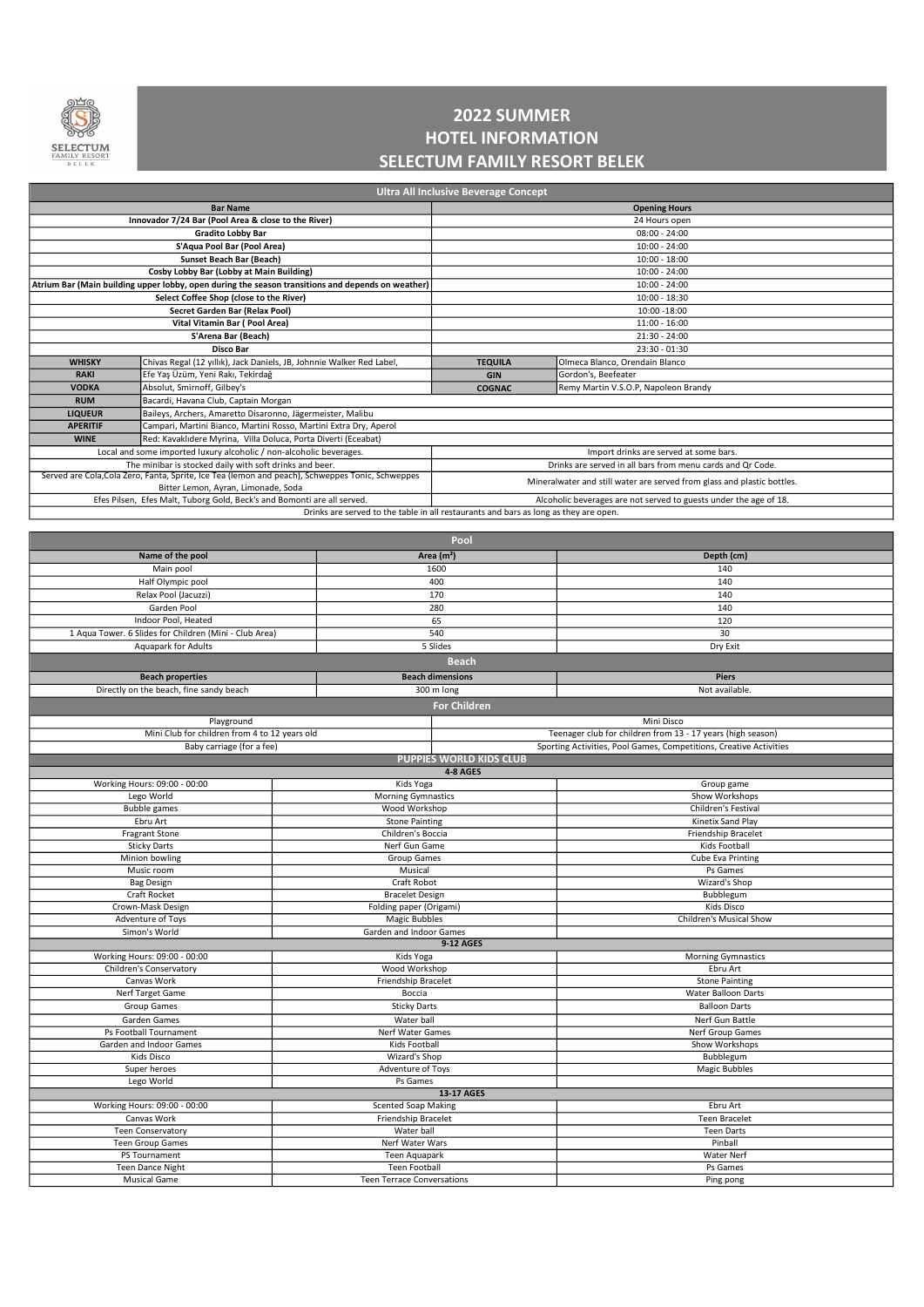

## HOTEL INFORMATION SELECTUM FAMILY RESORT BELEK

|                               |                                                                                                                | 2022 SUMMER                                 |                                                                         |
|-------------------------------|----------------------------------------------------------------------------------------------------------------|---------------------------------------------|-------------------------------------------------------------------------|
|                               |                                                                                                                |                                             |                                                                         |
| SELECTUM                      |                                                                                                                | <b>HOTEL INFORMATION</b>                    |                                                                         |
| <b>FAMILY RESORT</b><br>BELEK |                                                                                                                |                                             | <b>SELECTUM FAMILY RESORT BELEK</b>                                     |
|                               |                                                                                                                |                                             |                                                                         |
|                               |                                                                                                                |                                             |                                                                         |
|                               |                                                                                                                | <b>Ultra All Inclusive Beverage Concept</b> |                                                                         |
|                               | <b>Bar Name</b>                                                                                                |                                             | <b>Opening Hours</b>                                                    |
|                               | Innovador 7/24 Bar (Pool Area & close to the River)                                                            |                                             | 24 Hours open                                                           |
|                               | <b>Gradito Lobby Bar</b>                                                                                       |                                             | $08:00 - 24:00$                                                         |
|                               | S'Aqua Pool Bar (Pool Area)                                                                                    |                                             | $10:00 - 24:00$                                                         |
|                               | <b>Sunset Beach Bar (Beach)</b><br>Cosby Lobby Bar (Lobby at Main Building)                                    |                                             | $10:00 - 18:00$<br>$10:00 - 24:00$                                      |
|                               | Atrium Bar (Main building upper lobby, open during the season transitions and depends on weather)              |                                             | $10:00 - 24:00$                                                         |
|                               | Select Coffee Shop (close to the River)                                                                        |                                             | $10:00 - 18:30$                                                         |
|                               | Secret Garden Bar (Relax Pool)                                                                                 |                                             | 10:00 - 18:00                                                           |
|                               | Vital Vitamin Bar (Pool Area)                                                                                  |                                             | $11:00 - 16:00$                                                         |
|                               | S'Arena Bar (Beach)                                                                                            |                                             | $21:30 - 24:00$                                                         |
| <b>WHISKY</b>                 | <b>Disco Bar</b>                                                                                               |                                             | 23:30 - 01:30                                                           |
| <b>RAKI</b>                   | Chivas Regal (12 yıllık), Jack Daniels, JB, Johnnie Walker Red Label,<br>Efe Yaş Üzüm, Yeni Rakı, Tekirdağ     | <b>TEQUILA</b><br><b>GIN</b>                | Olmeca Blanco, Orendain Blanco<br>Gordon's, Beefeater                   |
| <b>VODKA</b>                  | Absolut, Smirnoff, Gilbey's                                                                                    | <b>COGNAC</b>                               | Remy Martin V.S.O.P, Napoleon Brandy                                    |
| <b>RUM</b>                    | Bacardi, Havana Club, Captain Morgan                                                                           |                                             |                                                                         |
| <b>LIQUEUR</b>                | Baileys, Archers, Amaretto Disaronno, Jägermeister, Malibu                                                     |                                             |                                                                         |
| <b>APERITIF</b>               | Campari, Martini Bianco, Martini Rosso, Martini Extra Dry, Aperol                                              |                                             |                                                                         |
| <b>WINE</b>                   | Red: Kavaklıdere Myrina, Villa Doluca, Porta Diverti (Eceabat)                                                 |                                             |                                                                         |
|                               | Local and some imported luxury alcoholic / non-alcoholic beverages.                                            |                                             | Import drinks are served at some bars.                                  |
|                               | The minibar is stocked daily with soft drinks and beer.                                                        |                                             | Drinks are served in all bars from menu cards and Qr Code.              |
|                               | Served are Cola, Cola Zero, Fanta, Sprite, Ice Tea (lemon and peach), Schweppes Tonic, Schweppes               |                                             | Mineralwater and still water are served from glass and plastic bottles. |
|                               | Bitter Lemon, Ayran, Limonade, Soda<br>Efes Pilsen, Efes Malt, Tuborg Gold, Beck's and Bomonti are all served. |                                             | Alcoholic beverages are not served to guests under the age of 18.       |

|                                                        |                                   | Pool                           |                                                                    |
|--------------------------------------------------------|-----------------------------------|--------------------------------|--------------------------------------------------------------------|
| Name of the pool                                       |                                   | Area (m <sup>2</sup> )         | Depth (cm)                                                         |
| Main pool                                              |                                   | 1600                           | 140                                                                |
| Half Olympic pool                                      |                                   | 400                            | 140                                                                |
| Relax Pool (Jacuzzi)                                   |                                   | 170                            | 140                                                                |
| Garden Pool                                            |                                   | 280                            | 140                                                                |
| Indoor Pool, Heated                                    |                                   | 65                             | 120                                                                |
| 1 Aqua Tower. 6 Slides for Children (Mini - Club Area) |                                   | 540                            | 30                                                                 |
| <b>Aquapark for Adults</b>                             |                                   | 5 Slides                       | Dry Exit                                                           |
|                                                        |                                   | <b>Beach</b>                   |                                                                    |
| <b>Beach properties</b>                                |                                   | <b>Beach dimensions</b>        | <b>Piers</b>                                                       |
| Directly on the beach, fine sandy beach                |                                   | 300 m long                     |                                                                    |
|                                                        |                                   |                                | Not available.                                                     |
|                                                        |                                   | <b>For Children</b>            |                                                                    |
| Playground                                             |                                   |                                | Mini Disco                                                         |
| Mini Club for children from 4 to 12 years old          |                                   |                                | Teenager club for children from 13 - 17 years (high season)        |
| Baby carriage (for a fee)                              |                                   |                                | Sporting Activities, Pool Games, Competitions, Creative Activities |
|                                                        |                                   | <b>PUPPIES WORLD KIDS CLUB</b> |                                                                    |
|                                                        |                                   | 4-8 AGES                       |                                                                    |
| Working Hours: 09:00 - 00:00                           | Kids Yoga                         |                                | Group game                                                         |
| Lego World                                             | <b>Morning Gymnastics</b>         |                                | Show Workshops                                                     |
| <b>Bubble games</b>                                    | Wood Workshop                     |                                | Children's Festival                                                |
| Ebru Art                                               | <b>Stone Painting</b>             |                                | Kinetix Sand Play                                                  |
| <b>Fragrant Stone</b>                                  | Children's Boccia                 |                                | Friendship Bracelet                                                |
| <b>Sticky Darts</b>                                    | Nerf Gun Game                     |                                | Kids Football                                                      |
| Minion bowling                                         | Group Games                       |                                | Cube Eva Printing                                                  |
| Music room                                             | Musical                           |                                | Ps Games                                                           |
| <b>Bag Design</b>                                      | Craft Robot                       |                                | Wizard's Shop                                                      |
| Craft Rocket                                           | <b>Bracelet Design</b>            |                                | Bubblegum                                                          |
| Crown-Mask Design                                      | Folding paper (Origami)           |                                | <b>Kids Disco</b>                                                  |
| Adventure of Toys                                      | <b>Magic Bubbles</b>              |                                | Children's Musical Show                                            |
| Simon's World                                          | Garden and Indoor Games           |                                |                                                                    |
|                                                        |                                   | <b>9-12 AGES</b>               |                                                                    |
| Working Hours: 09:00 - 00:00                           | Kids Yoga                         |                                | <b>Morning Gymnastics</b>                                          |
| Children's Conservatory                                | Wood Workshop                     |                                | Ebru Art                                                           |
| Canvas Work                                            | Friendship Bracelet               |                                | <b>Stone Painting</b>                                              |
| Nerf Target Game                                       | Boccia                            |                                | Water Balloon Darts                                                |
| Group Games                                            | <b>Sticky Darts</b>               |                                | <b>Balloon Darts</b>                                               |
| Garden Games                                           | Water ball                        |                                | Nerf Gun Battle                                                    |
| Ps Football Tournament                                 | Nerf Water Games                  |                                | Nerf Group Games                                                   |
| Garden and Indoor Games                                | Kids Football                     |                                | Show Workshops                                                     |
| Kids Disco                                             | Wizard's Shop                     |                                | Bubblegum                                                          |
| Super heroes                                           | Adventure of Toys                 |                                | <b>Magic Bubbles</b>                                               |
| Lego World                                             | Ps Games                          |                                |                                                                    |
|                                                        |                                   | 13-17 AGES                     |                                                                    |
| Working Hours: 09:00 - 00:00                           | <b>Scented Soap Making</b>        |                                | Ebru Art                                                           |
| Canvas Work                                            | Friendship Bracelet               |                                | <b>Teen Bracelet</b>                                               |
| <b>Teen Conservatory</b>                               | Water ball                        |                                | <b>Teen Darts</b>                                                  |
| <b>Teen Group Games</b>                                | Nerf Water Wars                   |                                | Pinball                                                            |
| PS Tournament                                          | Teen Aquapark                     |                                | <b>Water Nerf</b>                                                  |
| <b>Teen Dance Night</b>                                | <b>Teen Football</b>              |                                | Ps Games                                                           |
| <b>Musical Game</b>                                    | <b>Teen Terrace Conversations</b> |                                | Ping pong                                                          |